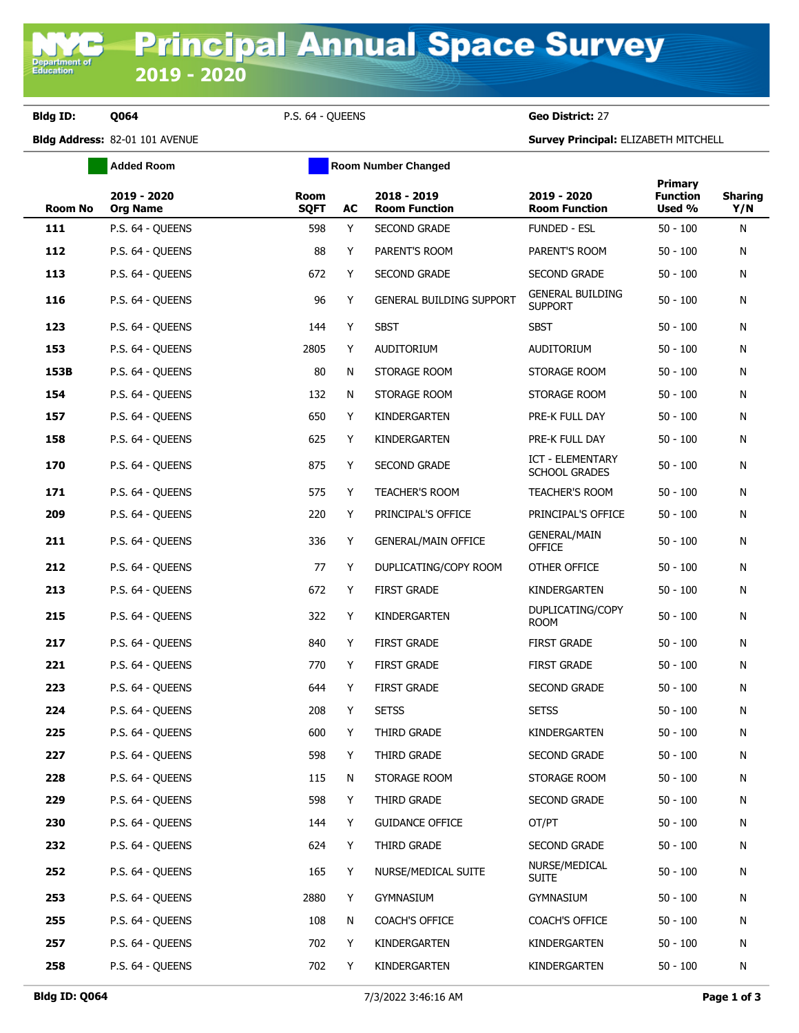**Department of**<br>Education

**Bldg ID: Q064** P.S. 64 - QUEENS **Geo District:** 27

**Bldg Address:** 82-01 101 AVENUE **Survey Principal:** ELIZABETH MITCHELL

|         | <b>Added Room</b>              |                            |    |                                     |                                           |                                             |                       |
|---------|--------------------------------|----------------------------|----|-------------------------------------|-------------------------------------------|---------------------------------------------|-----------------------|
| Room No | 2019 - 2020<br><b>Org Name</b> | <b>Room</b><br><b>SQFT</b> | AC | 2018 - 2019<br><b>Room Function</b> | 2019 - 2020<br><b>Room Function</b>       | <b>Primary</b><br><b>Function</b><br>Used % | <b>Sharing</b><br>Y/N |
| 111     | P.S. 64 - OUEENS               | 598                        | Y  | <b>SECOND GRADE</b>                 | FUNDED - ESL                              | $50 - 100$                                  | N                     |
| 112     | P.S. 64 - QUEENS               | 88                         | Y  | PARENT'S ROOM                       | PARENT'S ROOM                             | $50 - 100$                                  | N                     |
| 113     | P.S. 64 - QUEENS               | 672                        | Y  | <b>SECOND GRADE</b>                 | SECOND GRADE                              | $50 - 100$                                  | N                     |
| 116     | P.S. 64 - QUEENS               | 96                         | Y  | GENERAL BUILDING SUPPORT            | <b>GENERAL BUILDING</b><br><b>SUPPORT</b> | $50 - 100$                                  | N                     |
| 123     | P.S. 64 - QUEENS               | 144                        | Y  | <b>SBST</b>                         | <b>SBST</b>                               | $50 - 100$                                  | N                     |
| 153     | P.S. 64 - QUEENS               | 2805                       | Y  | AUDITORIUM                          | <b>AUDITORIUM</b>                         | $50 - 100$                                  | N                     |
| 153B    | P.S. 64 - QUEENS               | 80                         | N  | STORAGE ROOM                        | STORAGE ROOM                              | $50 - 100$                                  | N                     |
| 154     | P.S. 64 - QUEENS               | 132                        | N  | STORAGE ROOM                        | STORAGE ROOM                              | $50 - 100$                                  | N                     |
| 157     | P.S. 64 - QUEENS               | 650                        | Y  | KINDERGARTEN                        | PRE-K FULL DAY                            | $50 - 100$                                  | N                     |
| 158     | P.S. 64 - QUEENS               | 625                        | Y  | KINDERGARTEN                        | PRE-K FULL DAY                            | $50 - 100$                                  | N                     |
| 170     | P.S. 64 - OUEENS               | 875                        | Y  | <b>SECOND GRADE</b>                 | ICT - ELEMENTARY<br><b>SCHOOL GRADES</b>  | $50 - 100$                                  | N                     |
| 171     | P.S. 64 - QUEENS               | 575                        | Y  | TEACHER'S ROOM                      | <b>TEACHER'S ROOM</b>                     | $50 - 100$                                  | N                     |
| 209     | P.S. 64 - QUEENS               | 220                        | Y  | PRINCIPAL'S OFFICE                  | PRINCIPAL'S OFFICE                        | $50 - 100$                                  | N                     |
| 211     | P.S. 64 - QUEENS               | 336                        | Y  | <b>GENERAL/MAIN OFFICE</b>          | <b>GENERAL/MAIN</b><br><b>OFFICE</b>      | $50 - 100$                                  | N                     |
| 212     | P.S. 64 - QUEENS               | 77                         | Y  | DUPLICATING/COPY ROOM               | OTHER OFFICE                              | $50 - 100$                                  | N                     |
| 213     | P.S. 64 - QUEENS               | 672                        | Y  | <b>FIRST GRADE</b>                  | KINDERGARTEN                              | $50 - 100$                                  | N                     |
| 215     | P.S. 64 - QUEENS               | 322                        | Y  | KINDERGARTEN                        | DUPLICATING/COPY<br><b>ROOM</b>           | 50 - 100                                    | N                     |
| 217     | P.S. 64 - QUEENS               | 840                        | Y  | <b>FIRST GRADE</b>                  | <b>FIRST GRADE</b>                        | $50 - 100$                                  | N                     |
| 221     | P.S. 64 - QUEENS               | 770                        | Y  | <b>FIRST GRADE</b>                  | <b>FIRST GRADE</b>                        | $50 - 100$                                  | N                     |
| 223     | P.S. 64 - QUEENS               | 644                        | Y  | <b>FIRST GRADE</b>                  | SECOND GRADE                              | $50 - 100$                                  | N                     |
| 224     | P.S. 64 - QUEENS               | 208                        | Y  | <b>SETSS</b>                        | <b>SETSS</b>                              | $50 - 100$                                  | N                     |
| 225     | P.S. 64 - QUEENS               | 600                        | Y  | THIRD GRADE                         | KINDERGARTEN                              | $50 - 100$                                  | N                     |
| 227     | P.S. 64 - QUEENS               | 598                        | Y  | THIRD GRADE                         | SECOND GRADE                              | $50 - 100$                                  | N                     |
| 228     | P.S. 64 - OUEENS               | 115                        | N  | STORAGE ROOM                        | STORAGE ROOM                              | $50 - 100$                                  | N                     |
| 229     | P.S. 64 - QUEENS               | 598                        | Y  | THIRD GRADE                         | SECOND GRADE                              | $50 - 100$                                  | N                     |
| 230     | P.S. 64 - QUEENS               | 144                        | Y  | <b>GUIDANCE OFFICE</b>              | OT/PT                                     | $50 - 100$                                  | N                     |
| 232     | P.S. 64 - QUEENS               | 624                        | Y. | THIRD GRADE                         | <b>SECOND GRADE</b>                       | $50 - 100$                                  | N                     |
| 252     | P.S. 64 - QUEENS               | 165                        | Y  | NURSE/MEDICAL SUITE                 | NURSE/MEDICAL<br>Suite                    | $50 - 100$                                  | N                     |
| 253     | P.S. 64 - QUEENS               | 2880                       | Y  | <b>GYMNASIUM</b>                    | GYMNASIUM                                 | $50 - 100$                                  | N                     |
| 255     | P.S. 64 - QUEENS               | 108                        | N  | COACH'S OFFICE                      | COACH'S OFFICE                            | $50 - 100$                                  | N                     |
| 257     | P.S. 64 - QUEENS               | 702                        | Y  | KINDERGARTEN                        | KINDERGARTEN                              | $50 - 100$                                  | N                     |
| 258     | P.S. 64 - QUEENS               | 702                        | Y  | KINDERGARTEN                        | KINDERGARTEN                              | $50 - 100$                                  | N                     |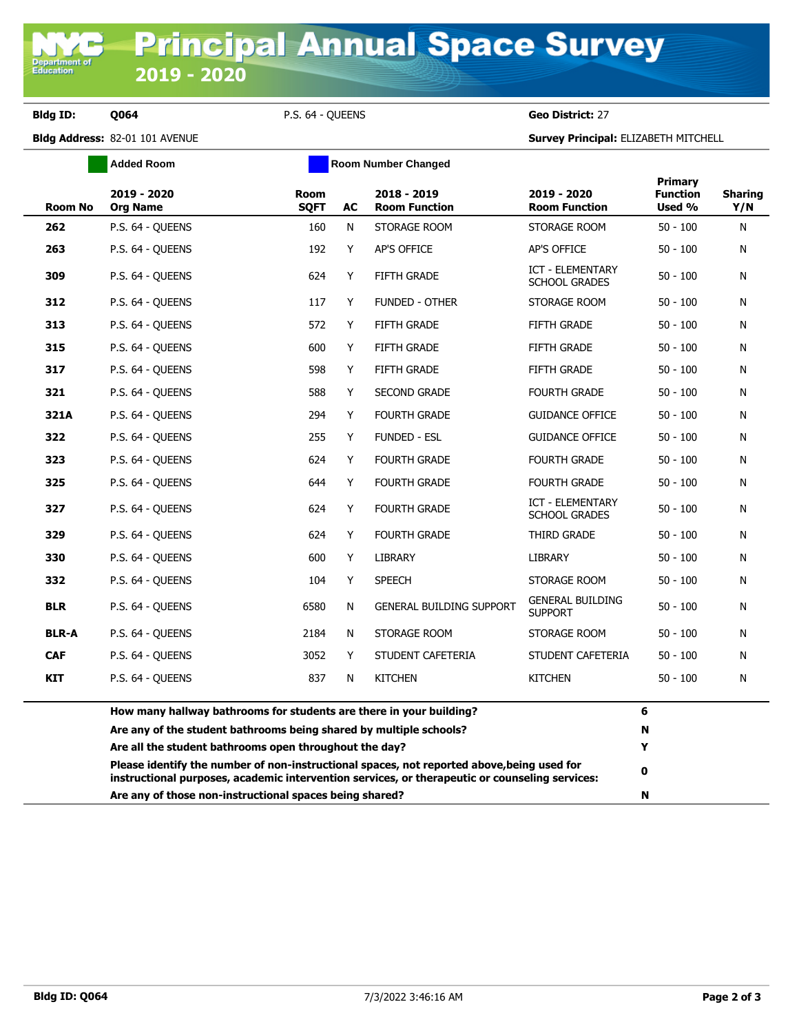Department o<br>Education

**Bldg ID: Q064** P.S. 64 - QUEENS **Geo District:** 27

**Bldg Address:** 82-01 101 AVENUE **Survey Principal:** ELIZABETH MITCHELL

|                | <b>Added Room</b><br><b>Room Number Changed</b>                                                                                                                                              |                     |    |                                     |                                                 |                                             |                       |
|----------------|----------------------------------------------------------------------------------------------------------------------------------------------------------------------------------------------|---------------------|----|-------------------------------------|-------------------------------------------------|---------------------------------------------|-----------------------|
| <b>Room No</b> | 2019 - 2020<br><b>Org Name</b>                                                                                                                                                               | Room<br><b>SQFT</b> | AC | 2018 - 2019<br><b>Room Function</b> | 2019 - 2020<br><b>Room Function</b>             | <b>Primary</b><br><b>Function</b><br>Used % | <b>Sharing</b><br>Y/N |
| 262            | P.S. 64 - QUEENS                                                                                                                                                                             | 160                 | N  | STORAGE ROOM                        | STORAGE ROOM                                    | $50 - 100$                                  | N                     |
| 263            | P.S. 64 - QUEENS                                                                                                                                                                             | 192                 | Y  | AP'S OFFICE                         | <b>AP'S OFFICE</b>                              | $50 - 100$                                  | N                     |
| 309            | P.S. 64 - OUEENS                                                                                                                                                                             | 624                 | Y  | <b>FIFTH GRADE</b>                  | <b>ICT - ELEMENTARY</b><br><b>SCHOOL GRADES</b> | $50 - 100$                                  | N                     |
| 312            | P.S. 64 - QUEENS                                                                                                                                                                             | 117                 | Y  | FUNDED - OTHER                      | STORAGE ROOM                                    | $50 - 100$                                  | N                     |
| 313            | P.S. 64 - OUEENS                                                                                                                                                                             | 572                 | Y  | <b>FIFTH GRADE</b>                  | <b>FIFTH GRADE</b>                              | $50 - 100$                                  | N                     |
| 315            | P.S. 64 - QUEENS                                                                                                                                                                             | 600                 | Y  | <b>FIFTH GRADE</b>                  | <b>FIFTH GRADE</b>                              | $50 - 100$                                  | N                     |
| 317            | P.S. 64 - OUEENS                                                                                                                                                                             | 598                 | Y  | <b>FIFTH GRADE</b>                  | <b>FIFTH GRADE</b>                              | $50 - 100$                                  | N                     |
| 321            | P.S. 64 - QUEENS                                                                                                                                                                             | 588                 | Y  | <b>SECOND GRADE</b>                 | <b>FOURTH GRADE</b>                             | $50 - 100$                                  | N                     |
| 321A           | P.S. 64 - QUEENS                                                                                                                                                                             | 294                 | Y  | <b>FOURTH GRADE</b>                 | <b>GUIDANCE OFFICE</b>                          | $50 - 100$                                  | N                     |
| 322            | P.S. 64 - QUEENS                                                                                                                                                                             | 255                 | Y  | <b>FUNDED - ESL</b>                 | <b>GUIDANCE OFFICE</b>                          | $50 - 100$                                  | N                     |
| 323            | P.S. 64 - QUEENS                                                                                                                                                                             | 624                 | Y  | <b>FOURTH GRADE</b>                 | <b>FOURTH GRADE</b>                             | $50 - 100$                                  | N                     |
| 325            | P.S. 64 - QUEENS                                                                                                                                                                             | 644                 | Y  | <b>FOURTH GRADE</b>                 | <b>FOURTH GRADE</b>                             | $50 - 100$                                  | N                     |
| 327            | P.S. 64 - QUEENS                                                                                                                                                                             | 624                 | Y  | <b>FOURTH GRADE</b>                 | ICT - ELEMENTARY<br><b>SCHOOL GRADES</b>        | $50 - 100$                                  | N                     |
| 329            | P.S. 64 - QUEENS                                                                                                                                                                             | 624                 | Y  | <b>FOURTH GRADE</b>                 | THIRD GRADE                                     | $50 - 100$                                  | N                     |
| 330            | P.S. 64 - QUEENS                                                                                                                                                                             | 600                 | Y  | <b>LIBRARY</b>                      | <b>LIBRARY</b>                                  | $50 - 100$                                  | N                     |
| 332            | P.S. 64 - QUEENS                                                                                                                                                                             | 104                 | Y  | <b>SPEECH</b>                       | STORAGE ROOM                                    | $50 - 100$                                  | N                     |
| <b>BLR</b>     | P.S. 64 - OUEENS                                                                                                                                                                             | 6580                | N  | <b>GENERAL BUILDING SUPPORT</b>     | <b>GENERAL BUILDING</b><br><b>SUPPORT</b>       | $50 - 100$                                  | N                     |
| <b>BLR-A</b>   | P.S. 64 - QUEENS                                                                                                                                                                             | 2184                | N  | STORAGE ROOM                        | STORAGE ROOM                                    | $50 - 100$                                  | N                     |
| <b>CAF</b>     | P.S. 64 - OUEENS                                                                                                                                                                             | 3052                | Y  | STUDENT CAFETERIA                   | STUDENT CAFETERIA                               | $50 - 100$                                  | N                     |
| <b>KIT</b>     | P.S. 64 - QUEENS                                                                                                                                                                             | 837                 | N  | <b>KITCHEN</b>                      | <b>KITCHEN</b>                                  | $50 - 100$                                  | N                     |
|                | How many hallway bathrooms for students are there in your building?                                                                                                                          |                     | 6  |                                     |                                                 |                                             |                       |
|                | Are any of the student bathrooms being shared by multiple schools?                                                                                                                           |                     | N  |                                     |                                                 |                                             |                       |
|                | Are all the student bathrooms open throughout the day?                                                                                                                                       |                     | Y  |                                     |                                                 |                                             |                       |
|                | Please identify the number of non-instructional spaces, not reported above, being used for<br>instructional purposes, academic intervention services, or therapeutic or counseling services: |                     | 0  |                                     |                                                 |                                             |                       |
|                | Are any of those non-instructional spaces being shared?                                                                                                                                      |                     | N  |                                     |                                                 |                                             |                       |